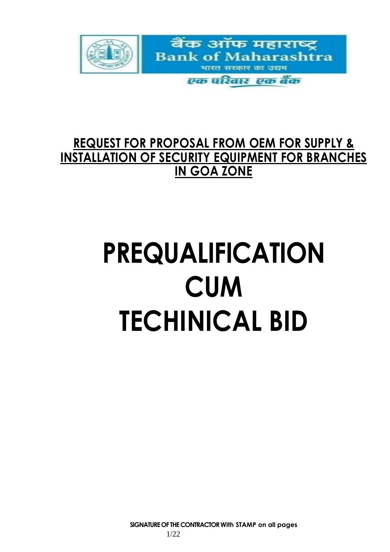

# **REQUEST FOR PROPOSAL FROM OEM FOR SUPPLY & INSTALLATION OF SECURITY EQUIPMENT FOR BRANCHES IN GOA ZONE**

# **PREQUALIFICATION CUM TECHINICAL BID**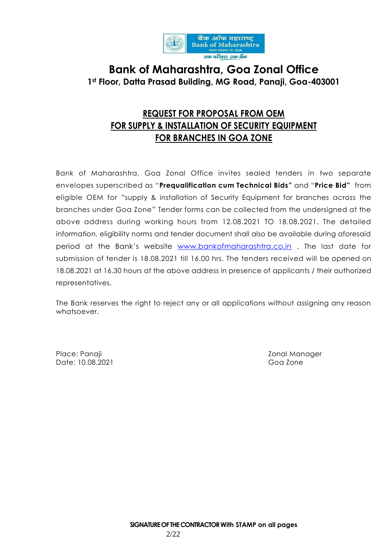

# **Bank of Maharashtra, Goa Zonal Office 1st Floor, Datta Prasad Building, MG Road, Panaji, Goa-403001**

# **REQUEST FOR PROPOSAL FROM OEM FOR SUPPLY & INSTALLATION OF SECURITY EQUIPMENT FOR BRANCHES IN GOA ZONE**

Bank of Maharashtra, Goa Zonal Office invites sealed tenders in two separate envelopes superscribed as "**Prequalification cum Technical Bids"** and "**Price Bid"** from eligible OEM for "supply & installation of Security Equipment for branches across the branches under Goa Zone" Tender forms can be collected from the undersigned at the above address during working hours from 12.08.2021 TO 18.08.2021. The detailed information, eligibility norms and tender document shall also be available during aforesaid period at the Bank's website [www.bankofmaharashtra.co.in](http://www.bankofmaharashtra.co.in/) . The last date for submission of tender is 18.08.2021 till 16.00 hrs. The tenders received will be opened on 18.08.2021 at 16.30 hours at the above address in presence of applicants / their authorized representatives.

The Bank reserves the right to reject any or all applications without assigning any reason whatsoever.

Place: Panaji Zonal Manager (2016) 2016 - 2017 Manager (2016) 2017 Manager (2016) 2017 Date: 10.08.2021 Goa Zone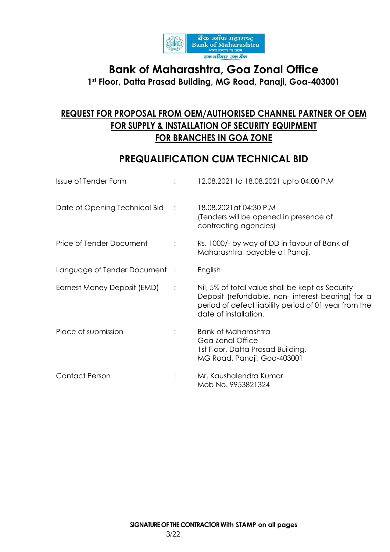

# **Bank of Maharashtra, Goa Zonal Office 1st Floor, Datta Prasad Building, MG Road, Panaji, Goa-403001**

# **REQUEST FOR PROPOSAL FROM OEM/AUTHORISED CHANNEL PARTNER OF OEM FOR SUPPLY & INSTALLATION OF SECURITY EQUIPMENT FOR BRANCHES IN GOA ZONE**

# **PREQUALIFICATION CUM TECHNICAL BID**

| <b>Issue of Tender Form</b>   |                | 12.08.2021 to 18.08.2021 upto 04:00 P.M                                                                                                                                                 |
|-------------------------------|----------------|-----------------------------------------------------------------------------------------------------------------------------------------------------------------------------------------|
| Date of Opening Technical Bid | $\mathbb{R}^2$ | 18.08.2021 at 04:30 P.M<br>(Tenders will be opened in presence of<br>contracting agencies)                                                                                              |
| Price of Tender Document      |                | Rs. 1000/- by way of DD in favour of Bank of<br>Maharashtra, payable at Panaji.                                                                                                         |
| Language of Tender Document : |                | English                                                                                                                                                                                 |
| Earnest Money Deposit (EMD)   | $\ddot{\cdot}$ | Nil, 5% of total value shall be kept as Security<br>Deposit (refundable, non- interest bearing) for a<br>period of defect liability period of 01 year from the<br>date of installation. |
| Place of submission           |                | <b>Bank of Maharashtra</b><br>Goa Zonal Office<br>1st Floor, Datta Prasad Building,<br>MG Road, Panaji, Goa-403001                                                                      |
| <b>Contact Person</b>         |                | Mr. Kaushalendra Kumar<br>Mob No. 9953821324                                                                                                                                            |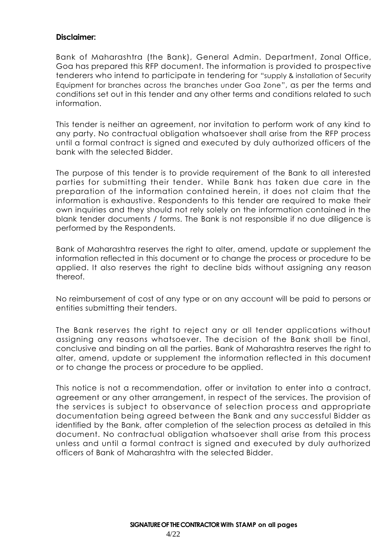#### **Disclaimer:**

Bank of Maharashtra (the Bank), General Admin. Department, Zonal Office, Goa has prepared this RFP document. The information is provided to prospective tenderers who intend to participate in tendering for "supply & installation of Security Equipment for branches across the branches under Goa Zone", as per the terms and conditions set out in this tender and any other terms and conditions related to such information.

This tender is neither an agreement, nor invitation to perform work of any kind to any party. No contractual obligation whatsoever shall arise from the RFP process until a formal contract is signed and executed by duly authorized officers of the bank with the selected Bidder.

The purpose of this tender is to provide requirement of the Bank to all interested parties for submitting their tender. While Bank has taken due care in the preparation of the information contained herein, it does not claim that the information is exhaustive. Respondents to this tender are required to make their own inquiries and they should not rely solely on the information contained in the blank tender documents / forms. The Bank is not responsible if no due diligence is performed by the Respondents.

Bank of Maharashtra reserves the right to alter, amend, update or supplement the information reflected in this document or to change the process or procedure to be applied. It also reserves the right to decline bids without assigning any reason thereof.

No reimbursement of cost of any type or on any account will be paid to persons or entities submitting their tenders.

The Bank reserves the right to reject any or all tender applications without assigning any reasons whatsoever. The decision of the Bank shall be final, conclusive and binding on all the parties. Bank of Maharashtra reserves the right to alter, amend, update or supplement the information reflected in this document or to change the process or procedure to be applied.

This notice is not a recommendation, offer or invitation to enter into a contract, agreement or any other arrangement, in respect of the services. The provision of the services is subject to observance of selection process and appropriate documentation being agreed between the Bank and any successful Bidder as identified by the Bank, after completion of the selection process as detailed in this document. No contractual obligation whatsoever shall arise from this process unless and until a formal contract is signed and executed by duly authorized officers of Bank of Maharashtra with the selected Bidder.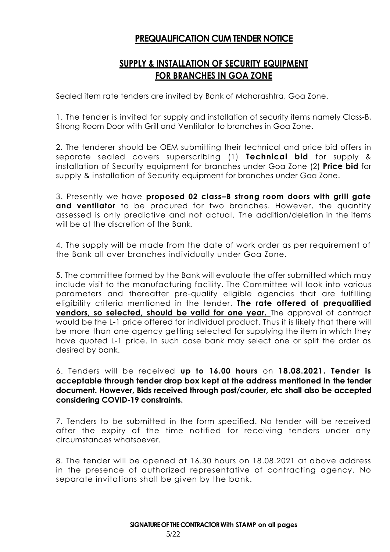#### **PREQUALIFICATION CUM TENDER NOTICE**

#### **SUPPLY & INSTALLATION OF SECURITY EQUIPMENT FOR BRANCHES IN GOA ZONE**

Sealed item rate tenders are invited by Bank of Maharashtra, Goa Zone.

1. The tender is invited for supply and installation of security items namely Class-B, Strong Room Door with Grill and Ventilator to branches in Goa Zone.

2. The tenderer should be OEM submitting their technical and price bid offers in separate sealed covers superscribing (1) **Technical bid** for supply & installation of Security equipment for branches under Goa Zone (2) **Price bid** for supply & installation of Security equipment for branches under Goa Zone.

3. Presently we have **proposed 02 class–B strong room doors with grill gate and ventilator** to be procured for two branches. However, the quantity assessed is only predictive and not actual. The addition/deletion in the items will be at the discretion of the Bank.

4. The supply will be made from the date of work order as per requirement of the Bank all over branches individually under Goa Zone.

5. The committee formed by the Bank will evaluate the offer submitted which may include visit to the manufacturing facility. The Committee will look into various parameters and thereafter pre-qualify eligible agencies that are fulfilling eligibility criteria mentioned in the tender. **The rate offered of prequalified vendors, so selected, should be valid for one year.** The approval of contract would be the L-1 price offered for individual product. Thus it is likely that there will be more than one agency getting selected for supplying the item in which they have quoted L-1 price. In such case bank may select one or split the order as desired by bank.

6. Tenders will be received **up to 16.00 hours** on **18.08.2021. Tender is acceptable through tender drop box kept at the address mentioned in the tender document. However, Bids received through post/courier, etc shall also be accepted considering COVID-19 constraints.**

7. Tenders to be submitted in the form specified. No tender will be received after the expiry of the time notified for receiving tenders under any circumstances whatsoever.

8. The tender will be opened at 16.30 hours on 18.08.2021 at above address in the presence of authorized representative of contracting agency. No separate invitations shall be given by the bank.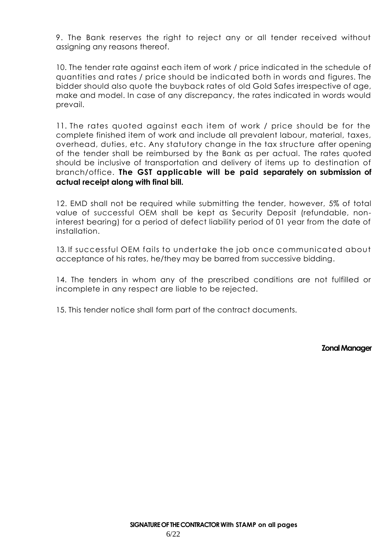9. The Bank reserves the right to reject any or all tender received without assigning any reasons thereof.

10. The tender rate against each item of work / price indicated in the schedule of quantities and rates / price should be indicated both in words and figures. The bidder should also quote the buyback rates of old Gold Safes irrespective of age, make and model. In case of any discrepancy, the rates indicated in words would prevail.

11. The rates quoted against each item of work / price should be for the complete finished item of work and include all prevalent labour, material, taxes, overhead, duties, etc. Any statutory change in the tax structure after opening of the tender shall be reimbursed by the Bank as per actual. The rates quoted should be inclusive of transportation and delivery of items up to destination of branch/office. **The GST applicable will be paid separately on submission of actual receipt along with final bill.**

12. EMD shall not be required while submitting the tender, however, 5% of total value of successful OEM shall be kept as Security Deposit (refundable, noninterest bearing) for a period of defect liability period of 01 year from the date of installation.

13. If successful OEM fails to undertake the job once communicated about acceptance of his rates, he/they may be barred from successive bidding.

14. The tenders in whom any of the prescribed conditions are not fulfilled or incomplete in any respect are liable to be rejected.

15. This tender notice shall form part of the contract documents.

**Zonal Manager**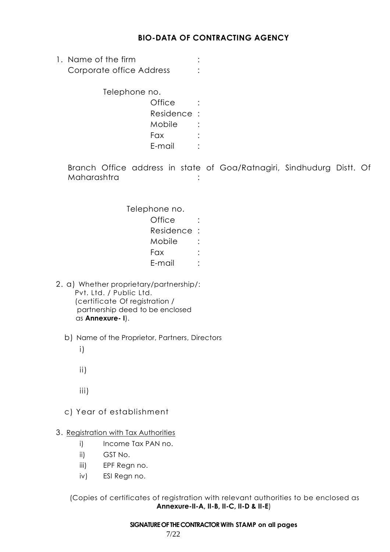#### **BIO-DATA OF CONTRACTING AGENCY**

1. Name of the firm  $\qquad \qquad :$ Corporate office Address :

Telephone no.

Office : Residence : Mobile : Fax : E-mail :

Branch Office address in state of Goa/Ratnagiri, Sindhudurg Distt. Of Maharashtra :

> Telephone no.  $\bigcap_{i \in \mathbb{N}}$   $\bigcap_{i \in \mathbb{N}}$

| Residence |  |
|-----------|--|
| Mobile    |  |
| Fax       |  |
| E-mail    |  |

- 2. a) Whether proprietary/partnership/: Pvt. Ltd. / Public Ltd. (certificate Of registration / partnership deed to be enclosed as **Annexure- I**).
	- b) Name of the Proprietor, Partners, Directors
		- i)
		- ii)
		- iii)
	- c) Year of establishment

#### 3. Registration with Tax Authorities

- i) Income Tax PAN no.
- ii) GST No.
- iii) EPF Regn no.
- iv) ESI Regn no.

(Copies of certificates of registration with relevant authorities to be enclosed as **Annexure-II-A, II-B, II-C, II-D & II-E**)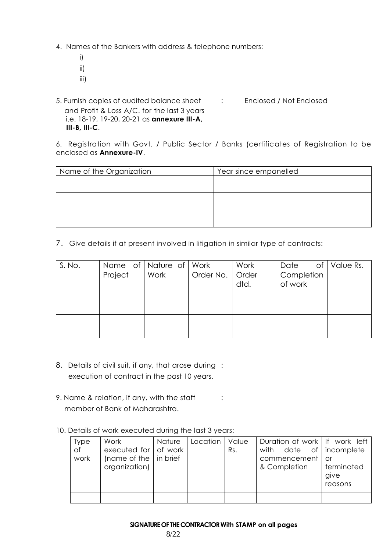4. Names of the Bankers with address & telephone numbers:

- i) ii)
- iii)

5. Furnish copies of audited balance sheet : Enclosed / Not Enclosed and Profit & Loss A/C. for the last 3 years i.e. 18-19, 19-20, 20-21 as **annexure III-A, III-B, III-C**.

6. Registration with Govt. / Public Sector / Banks (certificates of Registration to be enclosed as **Annexure-IV**.

| Name of the Organization | Year since empanelled |
|--------------------------|-----------------------|
|                          |                       |
|                          |                       |
|                          |                       |
|                          |                       |
|                          |                       |
|                          |                       |

7. Give details if at present involved in litigation in similar type of contracts:

| S. No. | Project | Name of   Nature of   Work<br>  Work | Order No. | Work<br>Order<br>dtd. | Date<br>Completion<br>of work | of   Value Rs. |
|--------|---------|--------------------------------------|-----------|-----------------------|-------------------------------|----------------|
|        |         |                                      |           |                       |                               |                |
|        |         |                                      |           |                       |                               |                |

- 8. Details of civil suit, if any, that arose during : execution of contract in the past 10 years.
- 9. Name & relation, if any, with the staff : member of Bank of Maharashtra.
- 10. Details of work executed during the last 3 years:

| <b>Type</b> | Work                                 | Nature | Location | Value |              |              | Duration of work   If work left |
|-------------|--------------------------------------|--------|----------|-------|--------------|--------------|---------------------------------|
| of          | executed for $\vert$ of work $\vert$ |        |          | Rs.   | with         |              | date of   incomplete            |
| work        | (name of the $ $ in brief            |        |          |       |              | commencement | or                              |
|             | organization)                        |        |          |       | & Completion |              | terminated                      |
|             |                                      |        |          |       |              |              | give                            |
|             |                                      |        |          |       |              |              | reasons                         |
|             |                                      |        |          |       |              |              |                                 |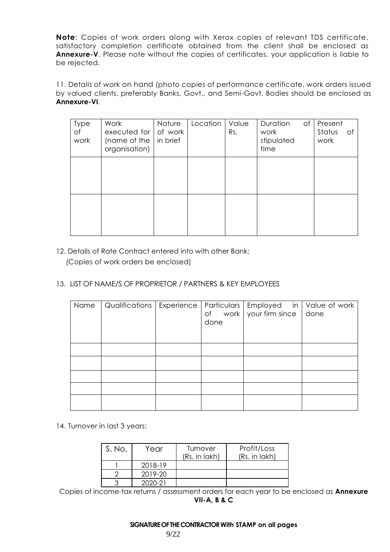**Note**: Copies of work orders along with Xerox copies of relevant TDS certificate, satisfactory completion certificate obtained from the client shall be enclosed as **Annexure-V**. Please note without the copies of certificates, your application is liable to be rejected.

11. Details of work on hand (photo copies of performance certificate, work orders issued by valued clients, preferably Banks, Govt., and Semi-Govt. Bodies should be enclosed as **Annexure-VI**.

| <b>Type</b><br>of<br>work | Work<br>executed for $\parallel$<br>(name of the<br>organisation) | Nature<br>of work<br>In brief | Location | Value<br>Rs. | of<br>Duration<br>work<br>stipulated<br>time | Present<br>Status<br>of<br>work |
|---------------------------|-------------------------------------------------------------------|-------------------------------|----------|--------------|----------------------------------------------|---------------------------------|
|                           |                                                                   |                               |          |              |                                              |                                 |
|                           |                                                                   |                               |          |              |                                              |                                 |

- 12. Details of Rate Contract entered into with other Bank: (Copies of work orders be enclosed)
- 13. LIST OF NAME/S OF PROPRIETOR / PARTNERS & KEY EMPLOYEES

| Name | Qualifications   Experience | done | Particulars   Employed in   Value of work<br>of work $\sqrt{ }$ your firm since | done |
|------|-----------------------------|------|---------------------------------------------------------------------------------|------|
|      |                             |      |                                                                                 |      |
|      |                             |      |                                                                                 |      |
|      |                             |      |                                                                                 |      |
|      |                             |      |                                                                                 |      |
|      |                             |      |                                                                                 |      |

14. Turnover in last 3 years:

| S. No. | Year    | Turnover<br>(Rs. in lakh) | Profit/Loss<br>(Rs. in lakh) |
|--------|---------|---------------------------|------------------------------|
|        | 2018-19 |                           |                              |
|        | 2019-20 |                           |                              |
|        | 2020-21 |                           |                              |

Copies of income-tax returns / assessment orders for each year to be enclosed as **Annexure VII-A, B & C**

**SIGNATURE OF THE CONTRACTOR With STAMP on all pages**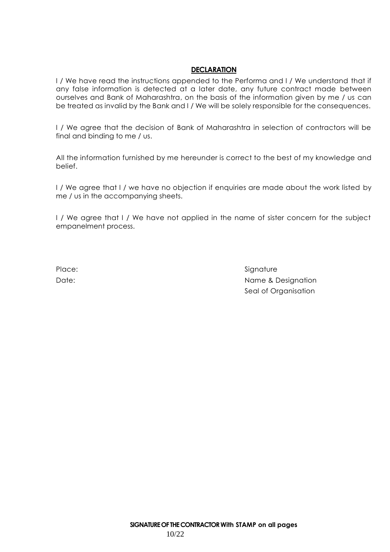#### **DECLARATION**

I / We have read the instructions appended to the Performa and I / We understand that if any false information is detected at a later date, any future contract made between ourselves and Bank of Maharashtra, on the basis of the information given by me / us can be treated as invalid by the Bank and I / We will be solely responsible for the consequences.

I / We agree that the decision of Bank of Maharashtra in selection of contractors will be final and binding to me / us.

All the information furnished by me hereunder is correct to the best of my knowledge and belief.

I / We agree that I / we have no objection if enquiries are made about the work listed by me / us in the accompanying sheets.

I / We agree that I / We have not applied in the name of sister concern for the subject empanelment process.

Place: Signature Signature Date: Name & Designation Seal of Organisation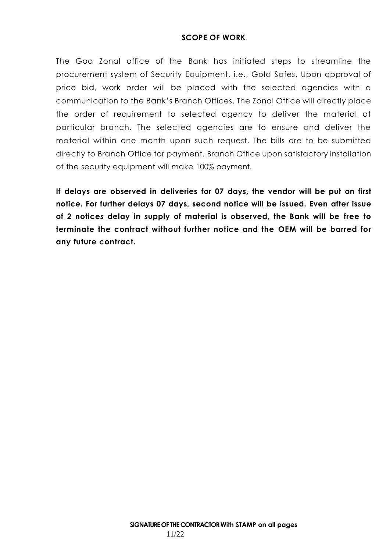#### **SCOPE OF WORK**

The Goa Zonal office of the Bank has initiated steps to streamline the procurement system of Security Equipment, i.e., Gold Safes. Upon approval of price bid, work order will be placed with the selected agencies with a communication to the Bank's Branch Offices. The Zonal Office will directly place the order of requirement to selected agency to deliver the material at particular branch. The selected agencies are to ensure and deliver the material within one month upon such request. The bills are to be submitted directly to Branch Office for payment. Branch Office upon satisfactory installation of the security equipment will make 100% payment.

**If delays are observed in deliveries for 07 days, the vendor will be put on first notice. For further delays 07 days, second notice will be issued. Even after issue of 2 notices delay in supply of material is observed, the Bank will be free to terminate the contract without further notice and the OEM will be barred for any future contract.**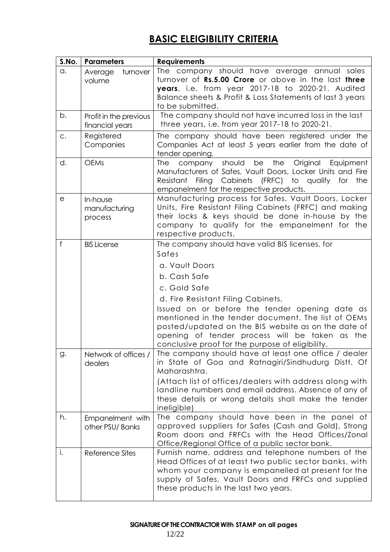# **BASIC ELEIGIBILITY CRITERIA**

| S.No.        | <b>Parameters</b>                         | <b>Requirements</b>                                                                                                                                                                                                                                                                                                                                                                                                      |
|--------------|-------------------------------------------|--------------------------------------------------------------------------------------------------------------------------------------------------------------------------------------------------------------------------------------------------------------------------------------------------------------------------------------------------------------------------------------------------------------------------|
| a.           | turnover<br>Average<br>volume             | The company should have average annual sales<br>turnover of Rs.5.00 Crore or above in the last three<br>years, i.e. from year 2017-18 to 2020-21. Audited<br>Balance sheets & Profit & Loss Statements of last 3 years<br>to be submitted.                                                                                                                                                                               |
| b.           | Profit in the previous<br>financial years | The company should not have incurred loss in the last<br>three years, i.e. from year 2017-18 to 2020-21.                                                                                                                                                                                                                                                                                                                 |
| C.           | Registered<br>Companies                   | The company should have been registered under the<br>Companies Act at least 5 years earlier from the date of<br>tender opening.                                                                                                                                                                                                                                                                                          |
| d.           | <b>OEMs</b>                               | company should<br>be the<br>Original<br><b>The</b><br>Equipment<br>Manufacturers of Safes, Vault Doors, Locker Units and Fire<br>Resistant Filing Cabinets (FRFC) to qualify for<br>the<br>empanelment for the respective products.                                                                                                                                                                                      |
| e            | In-house<br>manufacturing<br>process      | Manufacturing process for Safes, Vault Doors, Locker<br>Units, Fire Resistant Filing Cabinets (FRFC) and making<br>their locks & keys should be done in-house by the<br>company to qualify for the empanelment for the<br>respective products.                                                                                                                                                                           |
| $\mathsf{f}$ | <b>BIS License</b>                        | The company should have valid BIS licenses, for<br>Safes<br>a. Vault Doors<br>b. Cash Safe<br>c. Gold Safe<br>d. Fire Resistant Filing Cabinets,<br>Issued on or before the tender opening date as<br>mentioned in the tender document. The list of OEMs<br>posted/updated on the BIS website as on the date of<br>opening of tender process will be taken as<br>the<br>conclusive proof for the purpose of eligibility. |
| g.           | Network of offices /<br>dealers           | The company should have at least one office / dealer<br>in State of Goa and Ratnagiri/Sindhudurg Distt. Of<br>Maharashtra.<br>(Attach list of offices/dealers with address along with<br>landline numbers and email address. Absence of any of<br>these details or wrong details shall make the tender<br>ineligible)                                                                                                    |
| h.           | Empanelment with<br>other PSU/Banks       | The company should have been in the panel of<br>approved suppliers for Safes (Cash and Gold), Strong<br>Room doors and FRFCs with the Head Offices/Zonal<br>Office/Regional Office of a public sector bank.                                                                                                                                                                                                              |
| i.           | Reference Sites                           | Furnish name, address and telephone numbers of the<br>Head Offices of at least two public sector banks, with<br>whom your company is empanelled at present for the<br>supply of Safes, Vault Doors and FRFCs and supplied<br>these products in the last two years.                                                                                                                                                       |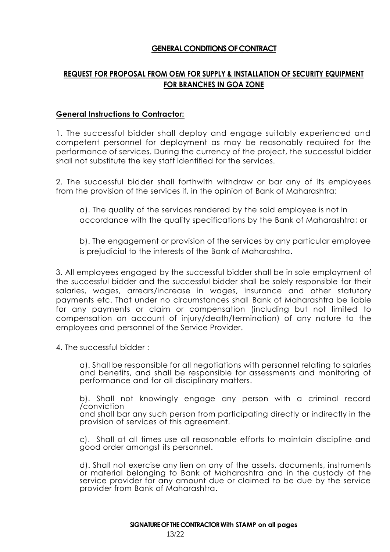#### **GENERAL CONDITIONS OF CONTRACT**

#### **REQUEST FOR PROPOSAL FROM OEM FOR SUPPLY & INSTALLATION OF SECURITY EQUIPMENT FOR BRANCHES IN GOA ZONE**

#### **General Instructions to Contractor:**

1. The successful bidder shall deploy and engage suitably experienced and competent personnel for deployment as may be reasonably required for the performance of services. During the currency of the project, the successful bidder shall not substitute the key staff identified for the services.

2. The successful bidder shall forthwith withdraw or bar any of its employees from the provision of the services if, in the opinion of Bank of Maharashtra:

a). The quality of the services rendered by the said employee is not in accordance with the quality specifications by the Bank of Maharashtra; or

b). The engagement or provision of the services by any particular employee is prejudicial to the interests of the Bank of Maharashtra.

3. All employees engaged by the successful bidder shall be in sole employment of the successful bidder and the successful bidder shall be solely responsible for their salaries, wages, arrears/increase in wages, insurance and other statutory payments etc. That under no circumstances shall Bank of Maharashtra be liable for any payments or claim or compensation (including but not limited to compensation on account of injury/death/termination) of any nature to the employees and personnel of the Service Provider.

4. The successful bidder :

a). Shall be responsible for all negotiations with personnel relating to salaries and benefits, and shall be responsible for assessments and monitoring of performance and for all disciplinary matters.

b). Shall not knowingly engage any person with a criminal record /conviction

and shall bar any such person from participating directly or indirectly in the provision of services of this agreement.

c). Shall at all times use all reasonable efforts to maintain discipline and good order amongst its personnel.

d). Shall not exercise any lien on any of the assets, documents, instruments or material belonging to Bank of Maharashtra and in the custody of the service provider for any amount due or claimed to be due by the service provider from Bank of Maharashtra.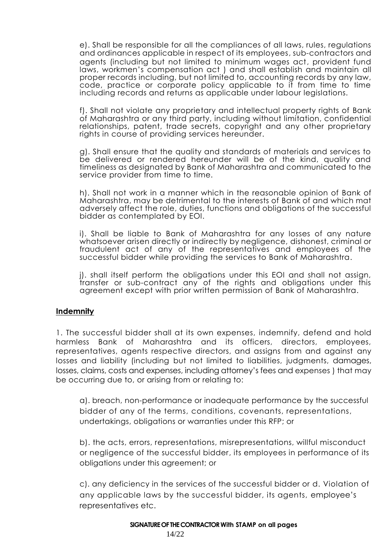e). Shall be responsible for all the compliances of all laws, rules, regulations and ordinances applicable in respect of its employees, sub-contractors and agents (including but not limited to minimum wages act, provident fund laws, workmen's compensation act ) and shall establish and maintain all proper records including, but not limited to, accounting records by any law, code, practice or corporate policy applicable to it from time to time including records and returns as applicable under labour legislations.

f). Shall not violate any proprietary and intellectual property rights of Bank of Maharashtra or any third party, including without limitation, confidential relationships, patent, trade secrets, copyright and any other proprietary rights in course of providing services hereunder.

g). Shall ensure that the quality and standards of materials and services to be delivered or rendered hereunder will be of the kind, quality and timeliness as designated by Bank of Maharashtra and communicated to the service provider from time to time.

h). Shall not work in a manner which in the reasonable opinion of Bank of Maharashtra, may be detrimental to the interests of Bank of and which mat adversely affect the role, duties, functions and obligations of the successful bidder as contemplated by EOI.

i). Shall be liable to Bank of Maharashtra for any losses of any nature whatsoever arisen directly or indirectly by negligence, dishonest, criminal or fraudulent act of any of the representatives and employees of the successful bidder while providing the services to Bank of Maharashtra.

j). shall itself perform the obligations under this EOI and shall not assign, transfer or sub-contract any of the rights and obligations under this agreement except with prior written permission of Bank of Maharashtra.

#### **Indemnity**

1. The successful bidder shall at its own expenses, indemnify, defend and hold harmless Bank of Maharashtra and its officers, directors, employees, representatives, agents respective directors, and assigns from and against any losses and liability (including but not limited to liabilities, judgments, damages, losses, claims, costs and expenses, including attorney's fees and expenses ) that may be occurring due to, or arising from or relating to:

a). breach, non-performance or inadequate performance by the successful bidder of any of the terms, conditions, covenants, representations, undertakings, obligations or warranties under this RFP; or

b). the acts, errors, representations, misrepresentations, willful misconduct or negligence of the successful bidder, its employees in performance of its obligations under this agreement; or

c). any deficiency in the services of the successful bidder or d. Violation of any applicable laws by the successful bidder, its agents, employee's representatives etc.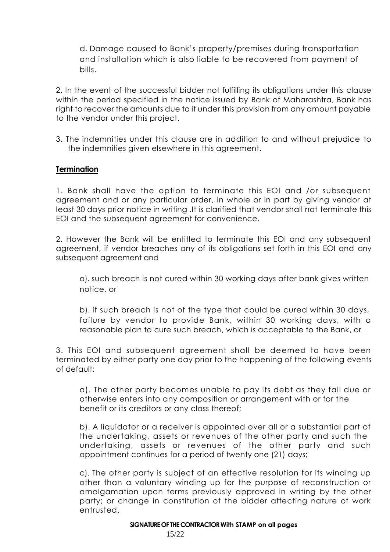d. Damage caused to Bank's property/premises during transportation and installation which is also liable to be recovered from payment of bills.

2. In the event of the successful bidder not fulfilling its obligations under this clause within the period specified in the notice issued by Bank of Maharashtra, Bank has right to recover the amounts due to it under this provision from any amount payable to the vendor under this project.

3. The indemnities under this clause are in addition to and without prejudice to the indemnities given elsewhere in this agreement.

#### **Termination**

1. Bank shall have the option to terminate this EOI and /or subsequent agreement and or any particular order, in whole or in part by giving vendor at least 30 days prior notice in writing .It is clarified that vendor shall not terminate this EOI and the subsequent agreement for convenience.

2. However the Bank will be entitled to terminate this EOI and any subsequent agreement, if vendor breaches any of its obligations set forth in this EOI and any subsequent agreement and

a). such breach is not cured within 30 working days after bank gives written notice, or

b). if such breach is not of the type that could be cured within 30 days, failure by vendor to provide Bank, within 30 working days, with a reasonable plan to cure such breach, which is acceptable to the Bank, or

3. This EOI and subsequent agreement shall be deemed to have been terminated by either party one day prior to the happening of the following events of default:

a). The other party becomes unable to pay its debt as they fall due or otherwise enters into any composition or arrangement with or for the benefit or its creditors or any class thereof;

b). A liquidator or a receiver is appointed over all or a substantial part of the undertaking, assets or revenues of the other party and such the undertaking, assets or revenues of the other party and such appointment continues for a period of twenty one (21) days;

c). The other party is subject of an effective resolution for its winding up other than a voluntary winding up for the purpose of reconstruction or amalgamation upon terms previously approved in writing by the other party; or change in constitution of the bidder affecting nature of work entrusted.

#### **SIGNATURE OF THE CONTRACTOR With STAMP on all pages**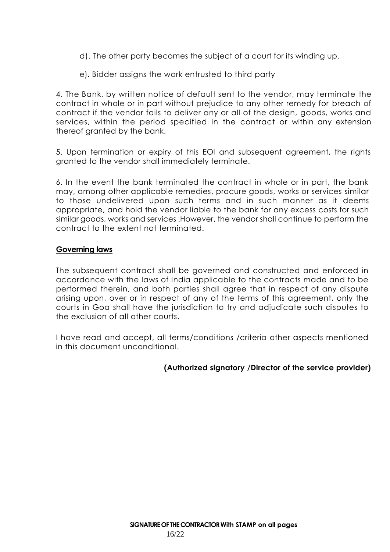- d). The other party becomes the subject of a court for its winding up.
- e). Bidder assigns the work entrusted to third party

4. The Bank, by written notice of default sent to the vendor, may terminate the contract in whole or in part without prejudice to any other remedy for breach of contract if the vendor fails to deliver any or all of the design, goods, works and services, within the period specified in the contract or within any extension thereof granted by the bank.

5. Upon termination or expiry of this EOI and subsequent agreement, the rights granted to the vendor shall immediately terminate.

6. In the event the bank terminated the contract in whole or in part, the bank may, among other applicable remedies, procure goods, works or services similar to those undelivered upon such terms and in such manner as it deems appropriate, and hold the vendor liable to the bank for any excess costs for such similar goods, works and services .However, the vendor shall continue to perform the contract to the extent not terminated.

#### **Governing laws**

The subsequent contract shall be governed and constructed and enforced in accordance with the laws of India applicable to the contracts made and to be performed therein, and both parties shall agree that in respect of any dispute arising upon, over or in respect of any of the terms of this agreement, only the courts in Goa shall have the jurisdiction to try and adjudicate such disputes to the exclusion of all other courts.

I have read and accept, all terms/conditions /criteria other aspects mentioned in this document unconditional.

#### **(Authorized signatory /Director of the service provider)**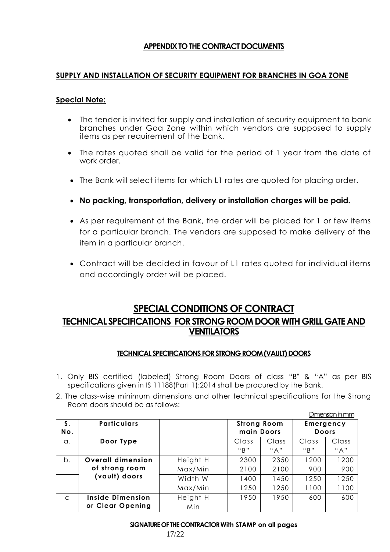#### **APPENDIX TO THE CONTRACT DOCUMENTS**

#### **SUPPLY AND INSTALLATION OF SECURITY EQUIPMENT FOR BRANCHES IN GOA ZONE**

#### **Special Note:**

- The tender is invited for supply and installation of security equipment to bank branches under Goa Zone within which vendors are supposed to supply items as per requirement of the bank.
- The rates quoted shall be valid for the period of 1 year from the date of work order.
- The Bank will select items for which L1 rates are quoted for placing order.
- **No packing, transportation, delivery or installation charges will be paid.**
- As per requirement of the Bank, the order will be placed for 1 or few items for a particular branch. The vendors are supposed to make delivery of the item in a particular branch.
- Contract will be decided in favour of L1 rates quoted for individual items and accordingly order will be placed.

#### **SPECIAL CONDITIONS OF CONTRACT**

#### **TECHNICAL SPECIFICATIONS FOR STRONG ROOM DOOR WITH GRILL GATE AND VENTILATORS**

#### **TECHNICAL SPECIFICATIONS FOR STRONG ROOM (VAULT) DOORS**

- 1. Only BIS certified (labeled) Strong Room Doors of class "B" & "A" as per BIS specifications given in IS 11188(Part 1):2014 shall be procured by the Bank.
- 2. The class-wise minimum dimensions and other technical specifications for the Strong Room doors should be as follows:

|              |                          |          |                                  |       |                           | Dimension in mm |
|--------------|--------------------------|----------|----------------------------------|-------|---------------------------|-----------------|
| S.<br>No.    | <b>Particulars</b>       |          | <b>Strong Room</b><br>main Doors |       | Emergency<br><b>Doors</b> |                 |
| $\alpha$ .   | Door Type                |          | Class                            | Class | Class                     | Class           |
|              |                          |          | "B"                              | "A"   | "B"                       | "A"             |
| b.           | <b>Overall dimension</b> | Height H | 2300                             | 2350  | 1200                      | 1200            |
|              | of strong room           | Max/Min  | 2100                             | 2100  | 900                       | 900             |
|              | (vault) doors            | Width W  | 1400                             | 1450  | 1250                      | 1250            |
|              |                          | Max/Min  | 1250                             | 1250  | 1100                      | 1100            |
| $\mathsf{C}$ | <b>Inside Dimension</b>  | Height H | 1950                             | 1950  | 600                       | 600             |
|              | or Clear Opening         | Min      |                                  |       |                           |                 |

#### **SIGNATURE OF THE CONTRACTOR With STAMP on all pages**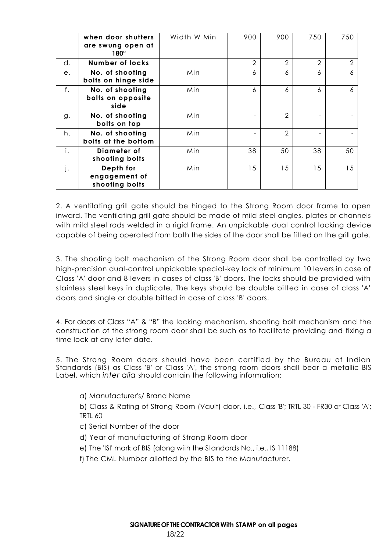|    | when door shutters<br>are swung open at<br>$180^\circ$ | Width W Min | 900            | 900            | 750            | 750            |
|----|--------------------------------------------------------|-------------|----------------|----------------|----------------|----------------|
| d. | <b>Number of locks</b>                                 |             | $\overline{2}$ | $\overline{2}$ | $\overline{2}$ | $\overline{2}$ |
| е. | No. of shooting<br>bolts on hinge side                 | Min         | 6              | 6              | 6              | 6              |
| f. | No. of shooting<br>bolts on opposite<br>side           | Min         | 6              | 6              | 6              | 6              |
| g. | No. of shooting<br>bolts on top                        | Min         |                | $\overline{2}$ |                |                |
| h. | No. of shooting<br>bolts at the bottom                 | Min         |                | $\overline{2}$ |                |                |
| i. | Diameter of<br>shooting bolts                          | Min         | 38             | 50             | 38             | 50             |
| j. | Depth for<br>engagement of<br>shooting bolts           | Min         | 15             | 15             | 15             | 15             |

2. A ventilating grill gate should be hinged to the Strong Room door frame to open inward. The ventilating grill gate should be made of mild steel angles, plates or channels with mild steel rods welded in a rigid frame. An unpickable dual control locking device capable of being operated from both the sides of the door shall be fitted on the grill gate.

3. The shooting bolt mechanism of the Strong Room door shall be controlled by two high-precision dual-control unpickable special-key lock of minimum 10 levers in case of Class 'A' door and 8 levers in cases of class 'B' doors. The locks should be provided with stainless steel keys in duplicate. The keys should be double bitted in case of class 'A' doors and single or double bitted in case of class 'B' doors.

4. For doors of Class "A" & "B" the locking mechanism, shooting bolt mechanism and the construction of the strong room door shall be such as to facilitate providing and fixing a time lock at any later date.

5. The Strong Room doors should have been certified by the Bureau of Indian Standards (BIS) as Class 'B' or Class 'A', the strong room doors shall bear a metallic BIS Label, which *inter alia* should contain the following information:

a) Manufacturer's/ Brand Name

b) Class & Rating of Strong Room (Vault) door, i.e., Class 'B'; TRTL 30 - FR30 or Class 'A'; TRTL 60

- c) Serial Number of the door
- d) Year of manufacturing of Strong Room door
- e) The 'ISI' mark of BIS (along with the Standards No., i.e., IS 11188)
- f) The CML Number allotted by the BIS to the Manufacturer.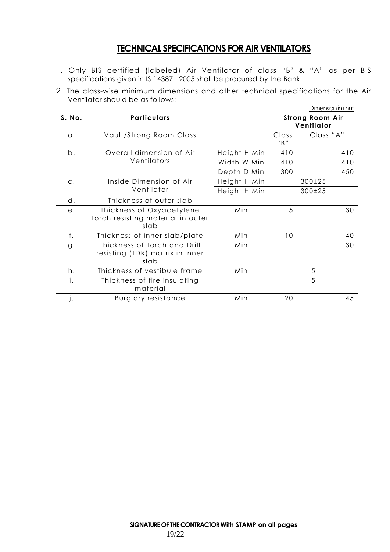### **TECHNICAL SPECIFICATIONS FOR AIR VENTILATORS**

- 1. Only BIS certified (labeled) Air Ventilator of class "B" & "A" as per BIS specifications given in IS 14387 : 2005 shall be procured by the Bank.
- 2. The class-wise minimum dimensions and other technical specifications for the Air Ventilator should be as follows:

|            |                                                                         |              |                                      | Dimension in mm |
|------------|-------------------------------------------------------------------------|--------------|--------------------------------------|-----------------|
| S. No.     | Particulars                                                             |              | <b>Strong Room Air</b><br>Ventilator |                 |
| $\alpha$ . | Vault/Strong Room Class                                                 |              | Class<br>"B"                         | Class "A"       |
| b.         | Overall dimension of Air                                                | Height H Min | 410                                  | 410             |
|            | Ventilators                                                             | Width W Min  | 410                                  | 410             |
|            |                                                                         | Depth D Min  | 300                                  | 450             |
| $C$ .      | Inside Dimension of Air                                                 | Height H Min |                                      | 300±25          |
|            | Ventilator                                                              | Height H Min | 300±25                               |                 |
| d.         | Thickness of outer slab                                                 |              |                                      |                 |
| $e$ .      | Thickness of Oxyacetylene<br>torch resisting material in outer<br>slab  | Min          | 5                                    | 30              |
| f.         | Thickness of inner slab/plate                                           | Min          | 10                                   | 40              |
| g.         | Thickness of Torch and Drill<br>resisting (TDR) matrix in inner<br>slab | Min          |                                      | 30              |
| h.         | Thickness of vestibule frame                                            | Min          |                                      | 5               |
| i.         | Thickness of fire insulating<br>material                                |              |                                      | 5               |
| Ŀ.         | <b>Burglary resistance</b>                                              | Min          | 20                                   | 45              |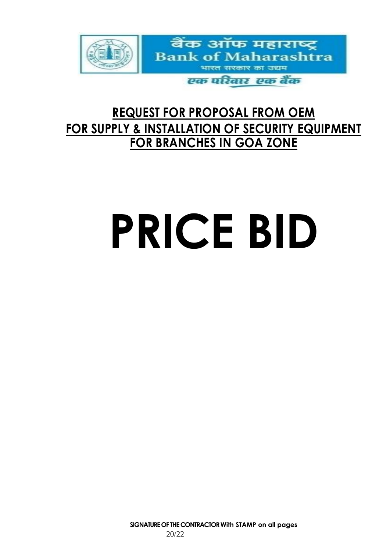

# **REQUEST FOR PROPOSAL FROM OEM FOR SUPPLY & INSTALLATION OF SECURITY EQUIPMENT FOR BRANCHES IN GOA ZONE**

# **PRICE BID**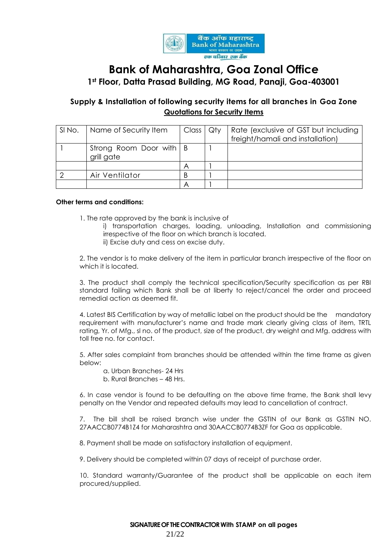

# **Bank of Maharashtra, Goa Zonal Office 1st Floor, Datta Prasad Building, MG Road, Panaji, Goa-403001**

#### **Supply & Installation of following security items for all branches in Goa Zone Quotations for Security Items**

| SINO. | Name of Security Item                   | Class   Qty | Rate (exclusive of GST but including<br>freight/hamali and installation) |
|-------|-----------------------------------------|-------------|--------------------------------------------------------------------------|
|       | Strong Room Door with   B<br>grill gate |             |                                                                          |
|       |                                         |             |                                                                          |
|       | Air Ventilator                          |             |                                                                          |
|       |                                         |             |                                                                          |

#### **Other terms and conditions:**

1. The rate approved by the bank is inclusive of

- i) transportation charges, loading, unloading, Installation and commissioning irrespective of the floor on which branch is located.
- ii) Excise duty and cess on excise duty.

2. The vendor is to make delivery of the item in particular branch irrespective of the floor on which it is located.

3. The product shall comply the technical specification/Security specification as per RBI standard failing which Bank shall be at liberty to reject/cancel the order and proceed remedial action as deemed fit.

4. Latest BIS Certification by way of metallic label on the product should be the mandatory requirement with manufacturer's name and trade mark clearly giving class of item, TRTL rating, Yr. of Mfg., sl no. of the product, size of the product, dry weight and Mfg. address with toll free no. for contact.

5. After sales complaint from branches should be attended within the time frame as given below:

- a. Urban Branches- 24 Hrs
- b. Rural Branches 48 Hrs.

6. In case vendor is found to be defaulting on the above time frame, the Bank shall levy penalty on the Vendor and repeated defaults may lead to cancellation of contract.

7. The bill shall be raised branch wise under the GSTIN of our Bank as GSTIN NO. 27AACCB0774B1Z4 for Maharashtra and 30AACCB0774B3ZF for Goa as applicable.

8. Payment shall be made on satisfactory installation of equipment.

9. Delivery should be completed within 07 days of receipt of purchase order.

10. Standard warranty/Guarantee of the product shall be applicable on each item procured/supplied.